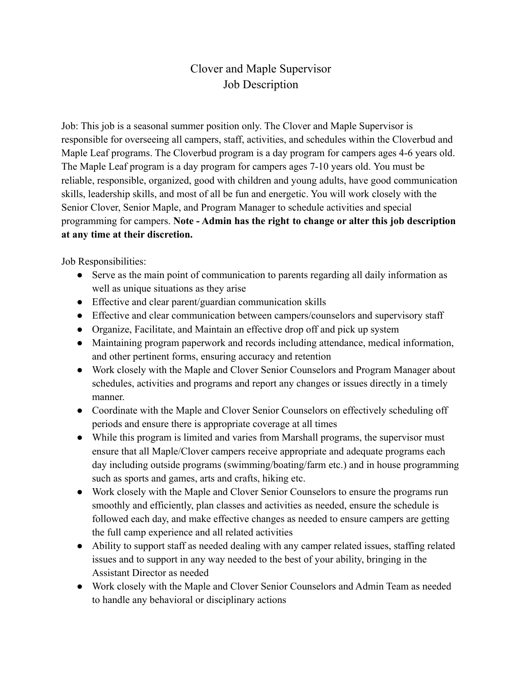## Clover and Maple Supervisor Job Description

Job: This job is a seasonal summer position only. The Clover and Maple Supervisor is responsible for overseeing all campers, staff, activities, and schedules within the Cloverbud and Maple Leaf programs. The Cloverbud program is a day program for campers ages 4-6 years old. The Maple Leaf program is a day program for campers ages 7-10 years old. You must be reliable, responsible, organized, good with children and young adults, have good communication skills, leadership skills, and most of all be fun and energetic. You will work closely with the Senior Clover, Senior Maple, and Program Manager to schedule activities and special programming for campers. **Note - Admin has the right to change or alter this job description at any time at their discretion.**

Job Responsibilities:

- Serve as the main point of communication to parents regarding all daily information as well as unique situations as they arise
- Effective and clear parent/guardian communication skills
- Effective and clear communication between campers/counselors and supervisory staff
- Organize, Facilitate, and Maintain an effective drop off and pick up system
- Maintaining program paperwork and records including attendance, medical information, and other pertinent forms, ensuring accuracy and retention
- Work closely with the Maple and Clover Senior Counselors and Program Manager about schedules, activities and programs and report any changes or issues directly in a timely manner.
- Coordinate with the Maple and Clover Senior Counselors on effectively scheduling off periods and ensure there is appropriate coverage at all times
- While this program is limited and varies from Marshall programs, the supervisor must ensure that all Maple/Clover campers receive appropriate and adequate programs each day including outside programs (swimming/boating/farm etc.) and in house programming such as sports and games, arts and crafts, hiking etc.
- Work closely with the Maple and Clover Senior Counselors to ensure the programs run smoothly and efficiently, plan classes and activities as needed, ensure the schedule is followed each day, and make effective changes as needed to ensure campers are getting the full camp experience and all related activities
- Ability to support staff as needed dealing with any camper related issues, staffing related issues and to support in any way needed to the best of your ability, bringing in the Assistant Director as needed
- Work closely with the Maple and Clover Senior Counselors and Admin Team as needed to handle any behavioral or disciplinary actions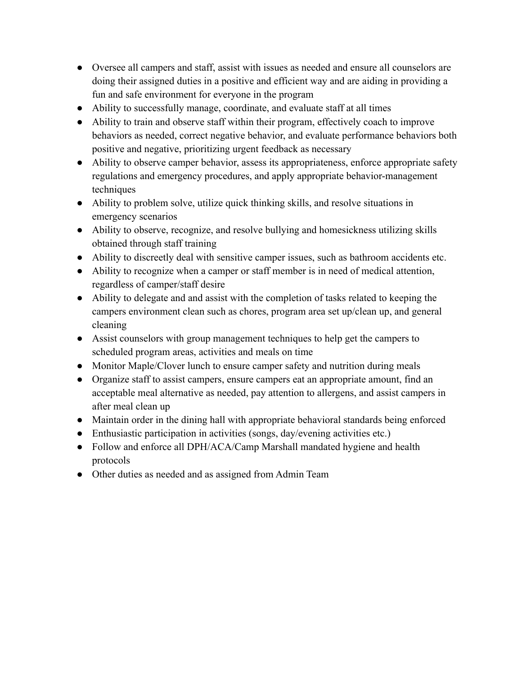- Oversee all campers and staff, assist with issues as needed and ensure all counselors are doing their assigned duties in a positive and efficient way and are aiding in providing a fun and safe environment for everyone in the program
- Ability to successfully manage, coordinate, and evaluate staff at all times
- Ability to train and observe staff within their program, effectively coach to improve behaviors as needed, correct negative behavior, and evaluate performance behaviors both positive and negative, prioritizing urgent feedback as necessary
- Ability to observe camper behavior, assess its appropriateness, enforce appropriate safety regulations and emergency procedures, and apply appropriate behavior-management techniques
- Ability to problem solve, utilize quick thinking skills, and resolve situations in emergency scenarios
- Ability to observe, recognize, and resolve bullying and homesickness utilizing skills obtained through staff training
- Ability to discreetly deal with sensitive camper issues, such as bathroom accidents etc.
- Ability to recognize when a camper or staff member is in need of medical attention, regardless of camper/staff desire
- Ability to delegate and and assist with the completion of tasks related to keeping the campers environment clean such as chores, program area set up/clean up, and general cleaning
- Assist counselors with group management techniques to help get the campers to scheduled program areas, activities and meals on time
- Monitor Maple/Clover lunch to ensure camper safety and nutrition during meals
- Organize staff to assist campers, ensure campers eat an appropriate amount, find an acceptable meal alternative as needed, pay attention to allergens, and assist campers in after meal clean up
- Maintain order in the dining hall with appropriate behavioral standards being enforced
- Enthusiastic participation in activities (songs, day/evening activities etc.)
- Follow and enforce all DPH/ACA/Camp Marshall mandated hygiene and health protocols
- Other duties as needed and as assigned from Admin Team